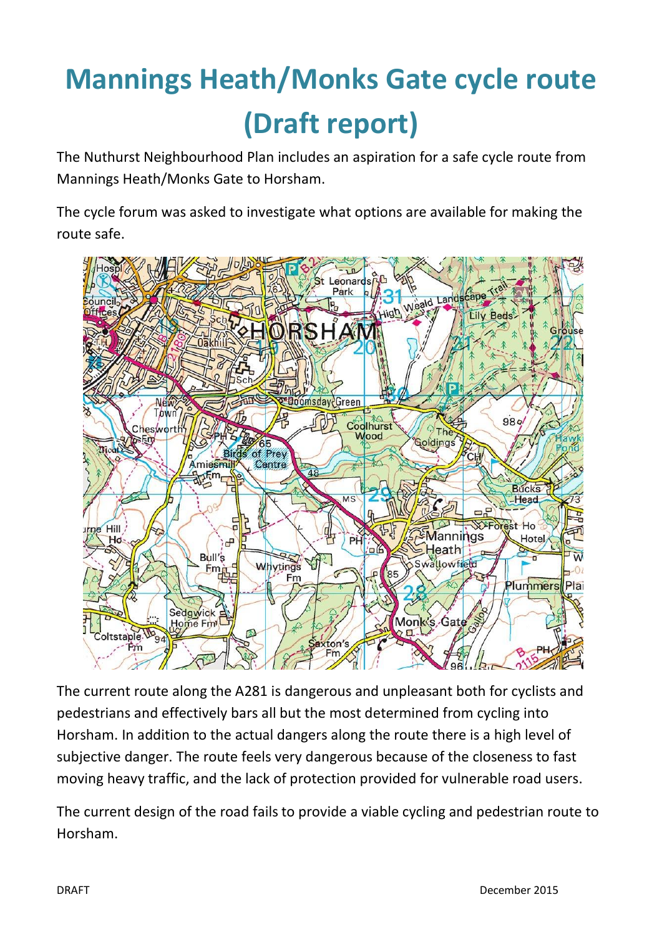# **Mannings Heath/Monks Gate cycle route (Draft report)**

The Nuthurst Neighbourhood Plan includes an aspiration for a safe cycle route from Mannings Heath/Monks Gate to Horsham.

The cycle forum was asked to investigate what options are available for making the route safe.



The current route along the A281 is dangerous and unpleasant both for cyclists and pedestrians and effectively bars all but the most determined from cycling into Horsham. In addition to the actual dangers along the route there is a high level of subjective danger. The route feels very dangerous because of the closeness to fast moving heavy traffic, and the lack of protection provided for vulnerable road users.

The current design of the road fails to provide a viable cycling and pedestrian route to Horsham.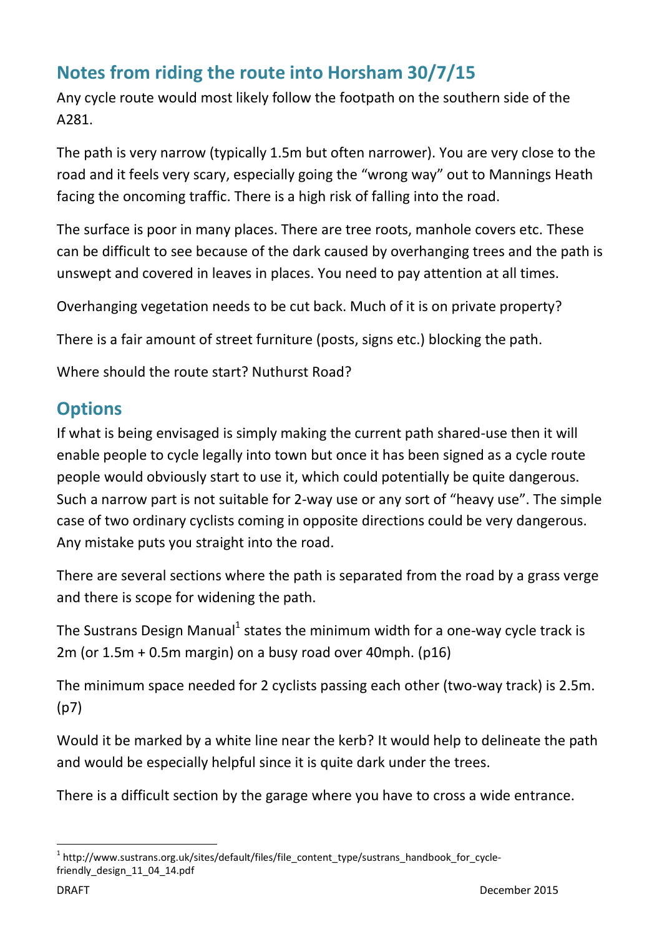## **Notes from riding the route into Horsham 30/7/15**

Any cycle route would most likely follow the footpath on the southern side of the A281.

The path is very narrow (typically 1.5m but often narrower). You are very close to the road and it feels very scary, especially going the "wrong way" out to Mannings Heath facing the oncoming traffic. There is a high risk of falling into the road.

The surface is poor in many places. There are tree roots, manhole covers etc. These can be difficult to see because of the dark caused by overhanging trees and the path is unswept and covered in leaves in places. You need to pay attention at all times.

Overhanging vegetation needs to be cut back. Much of it is on private property?

There is a fair amount of street furniture (posts, signs etc.) blocking the path.

Where should the route start? Nuthurst Road?

### **Options**

If what is being envisaged is simply making the current path shared-use then it will enable people to cycle legally into town but once it has been signed as a cycle route people would obviously start to use it, which could potentially be quite dangerous. Such a narrow part is not suitable for 2-way use or any sort of "heavy use". The simple case of two ordinary cyclists coming in opposite directions could be very dangerous. Any mistake puts you straight into the road.

There are several sections where the path is separated from the road by a grass verge and there is scope for widening the path.

The Sustrans Design Manual<sup>1</sup> states the minimum width for a one-way cycle track is 2m (or 1.5m + 0.5m margin) on a busy road over 40mph. (p16)

The minimum space needed for 2 cyclists passing each other (two-way track) is 2.5m. (p7)

Would it be marked by a white line near the kerb? It would help to delineate the path and would be especially helpful since it is quite dark under the trees.

There is a difficult section by the garage where you have to cross a wide entrance.

1

<sup>&</sup>lt;sup>1</sup> http://www.sustrans.org.uk/sites/default/files/file\_content\_type/sustrans\_handbook\_for\_cyclefriendly\_design\_11\_04\_14.pdf